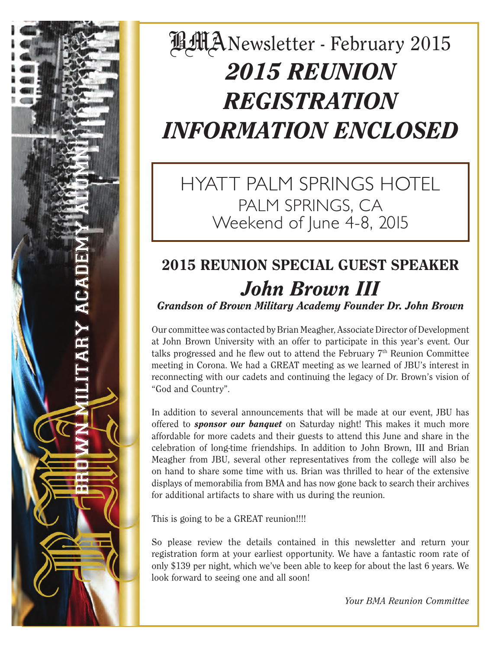# **LLANewsletter - February 2015** *2015 REUNION REGISTRATION INFORMATION ENCLOSED*

HYATT PALM SPRINGS HOTEL PALM SPRINGS, CA Weekend of June 4-8, 2015

## 2015 REUNION SPECIAL GUEST SPEAKER *John Brown III Grandson of Brown Military Academy Founder Dr. John Brown*

Our committee was contacted by Brian Meagher, Associate Director of Development at John Brown University with an offer to participate in this year's event. Our talks progressed and he flew out to attend the February  $7<sup>th</sup>$  Reunion Committee meeting in Corona. We had a GREAT meeting as we learned of JBU's interest in reconnecting with our cadets and continuing the legacy of Dr. Brown's vision of "God and Country".

In addition to several announcements that will be made at our event, JBU has offered to *sponsor our banquet* on Saturday night! This makes it much more affordable for more cadets and their guests to attend this June and share in the celebration of long-time friendships. In addition to John Brown, III and Brian Meagher from JBU, several other representatives from the college will also be on hand to share some time with us. Brian was thrilled to hear of the extensive displays of memorabilia from BMA and has now gone back to search their archives for additional artifacts to share with us during the reunion.

This is going to be a GREAT reunion!!!!

So please review the details contained in this newsletter and return your registration form at your earliest opportunity. We have a fantastic room rate of only \$139 per night, which we've been able to keep for about the last 6 years. We look forward to seeing one and all soon!

*Your BMA Reunion Committee*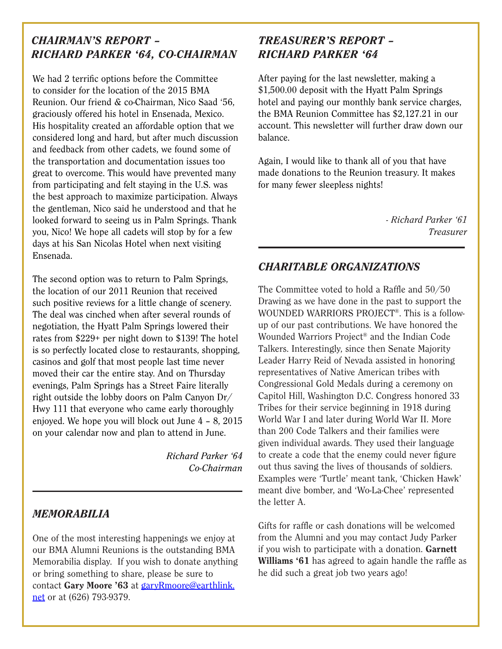#### *CHAIRMAN'S REPORT – RICHARD PARKER '64, CO-CHAIRMAN*

We had 2 terrific options before the Committee to consider for the location of the 2015 BMA Reunion. Our friend & co-Chairman, Nico Saad '56, graciously offered his hotel in Ensenada, Mexico. His hospitality created an affordable option that we considered long and hard, but after much discussion and feedback from other cadets, we found some of the transportation and documentation issues too great to overcome. This would have prevented many from participating and felt staying in the U.S. was the best approach to maximize participation. Always the gentleman, Nico said he understood and that he looked forward to seeing us in Palm Springs. Thank you, Nico! We hope all cadets will stop by for a few days at his San Nicolas Hotel when next visiting Ensenada.

The second option was to return to Palm Springs, the location of our 2011 Reunion that received such positive reviews for a little change of scenery. The deal was cinched when after several rounds of negotiation, the Hyatt Palm Springs lowered their rates from \$229+ per night down to \$139! The hotel is so perfectly located close to restaurants, shopping, casinos and golf that most people last time never moved their car the entire stay. And on Thursday evenings, Palm Springs has a Street Faire literally right outside the lobby doors on Palm Canyon Dr/ Hwy 111 that everyone who came early thoroughly enjoyed. We hope you will block out June 4 – 8, 2015 on your calendar now and plan to attend in June.

> *Richard Parker '64 Co-Chairman*

#### *MEMORABILIA*

One of the most interesting happenings we enjoy at our BMA Alumni Reunions is the outstanding BMA Memorabilia display. If you wish to donate anything or bring something to share, please be sure to contact Gary Moore '63 at garyRmoore@earthlink. net or at (626) 793-9379.

#### *TREASURER'S REPORT – RICHARD PARKER '64*

After paying for the last newsletter, making a \$1,500.00 deposit with the Hyatt Palm Springs hotel and paying our monthly bank service charges, the BMA Reunion Committee has \$2,127.21 in our account. This newsletter will further draw down our balance.

Again, I would like to thank all of you that have made donations to the Reunion treasury. It makes for many fewer sleepless nights!

> *- Richard Parker '61 Treasurer*

#### *CHARITABLE ORGANIZATIONS*

The Committee voted to hold a Raffle and 50/50 Drawing as we have done in the past to support the WOUNDED WARRIORS PROJECT®. This is a followup of our past contributions. We have honored the Wounded Warriors Project® and the Indian Code Talkers. Interestingly, since then Senate Majority Leader Harry Reid of Nevada assisted in honoring representatives of Native American tribes with Congressional Gold Medals during a ceremony on Capitol Hill, Washington D.C. Congress honored 33 Tribes for their service beginning in 1918 during World War I and later during World War II. More than 200 Code Talkers and their families were given individual awards. They used their language to create a code that the enemy could never figure out thus saving the lives of thousands of soldiers. Examples were 'Turtle' meant tank, 'Chicken Hawk' meant dive bomber, and 'Wo-La-Chee' represented the letter A.

Gifts for raffle or cash donations will be welcomed from the Alumni and you may contact Judy Parker if you wish to participate with a donation. Garnett Williams '61 has agreed to again handle the raffle as he did such a great job two years ago!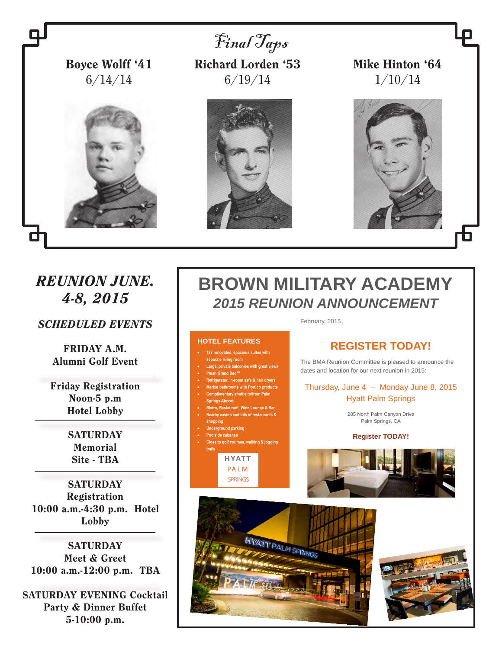

**197 renovated, spacious suites with** 

**or. in-room safe & hair dry Marble bathrooms with Portico products Complimentary shuttle to/from Palm** 

 **Bistro, Restaurant, Wine Lounge & Bar Nearby casino and lots of restaurants &** 

**Close to golf courses, walking & jogging** 

**nd parking** 

**HYATT** PA L M SPRINGS

**separate living room Large, private balconies with great views Plush Grand Bed™**

**Springs Airport**

**shopping**

**trails**

**Poolside cabanas**

FRIDAY A.M. Alumni Golf Event

Friday Registration Noon-5 p.m Hotel Lobby

> **SATURDAY** Memorial Site - TBA

**SATURDAY** Registration 10:00 a.m.-4:30 p.m. Hotel Lobby

**SATURDAY** Meet & Greet 10:00 a.m.-12:00 p.m. TBA

SATURDAY EVENING Cocktail Party & Dinner Buffet 5-10:00 p.m.

#### **REGISTER TODAY!**

The BMA Reunion Committee is pleased to announce the dates and location for our next reunion in 2015:

Thursday, June 4 – Monday June 8, 2015 Hyatt Palm Springs

> 285 North Palm Canyon Drive Palm Springs, CA

#### **Register TODAY!**





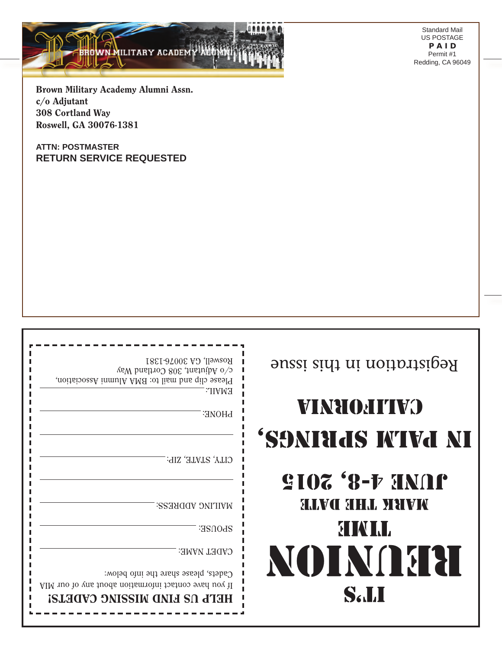Standard Mail US POSTAGE P A I D Permit #1 Redding, CA 96049

Brown Military Academy Alumni Assn. c/o Adjutant 308 Cortland Way Roswell, GA 30076-1381

ILITARY ACADEMY AUGHN

**ATTN: POSTMASTER RETURN SERVICE REQUESTED**

| Begistration in this issue                            | Roswell, GA 30076-1381<br>$c\verb / o Mjuitani, 308 Contian band$<br>Please clip and mail to: BMA Alumni Association,<br><b>EMAIL:</b>               |
|-------------------------------------------------------|------------------------------------------------------------------------------------------------------------------------------------------------------|
| <b>VINHOHITVO</b>                                     | <b>PHONE:</b>                                                                                                                                        |
| 'SONIHAS IVIVA NI                                     |                                                                                                                                                      |
| <b>SIOZ '8-F HNAP</b><br><b>SHAVCE SEFFAL STREVEN</b> | CITY, STATE, ZIP:<br><b>MAILING ADDRESS:</b>                                                                                                         |
| <b>BINAL</b>                                          | SPOUSE:                                                                                                                                              |
| NOTNA 31<br><b>Sall</b>                               | <b>CADET NAME:</b><br>Cadets, please share the info below:<br>AIM no to year to the mode not also the sup of our MIA<br>HETL US FIND MISSING CADETS! |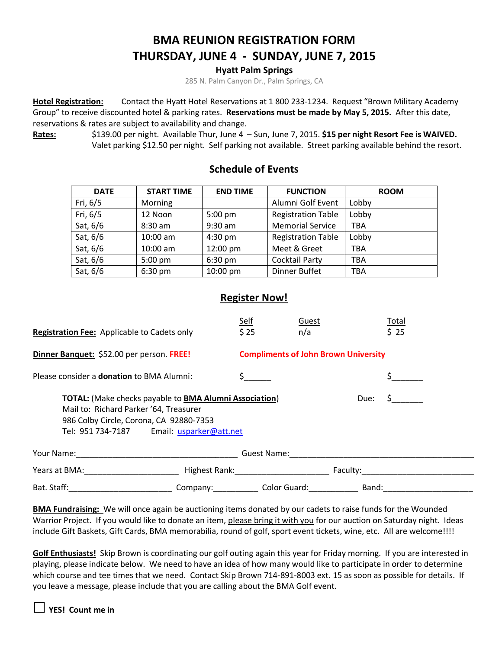#### **BMA REUNION REGISTRATION FORM THURSDAY, JUNE 4 - SUNDAY, JUNE 7, 2015**

**Hyatt Palm Springs**

285 N. Palm Canyon Dr., Palm Springs, CA

**Hotel Registration:** Contact the Hyatt Hotel Reservations at 1 800 233-1234. Request "Brown Military Academy Group" to receive discounted hotel & parking rates. **Reservations must be made by May 5, 2015.** After this date, reservations & rates are subject to availability and change.

**Rates:** \$139.00 per night. Available Thur, June 4 – Sun, June 7, 2015. **\$15 per night Resort Fee is WAIVED.**  Valet parking \$12.50 per night. Self parking not available. Street parking available behind the resort.

| <b>DATE</b> | <b>START TIME</b> | <b>END TIME</b> | <b>FUNCTION</b>           | <b>ROOM</b> |
|-------------|-------------------|-----------------|---------------------------|-------------|
| Fri, 6/5    | Morning           |                 | Alumni Golf Event         | Lobby       |
| Fri, 6/5    | 12 Noon           | 5:00 pm         | <b>Registration Table</b> | Lobby       |
| Sat, 6/6    | $8:30$ am         | $9:30$ am       | <b>Memorial Service</b>   | TBA         |
| Sat, 6/6    | $10:00$ am        | $4:30$ pm       | <b>Registration Table</b> | Lobby       |
| Sat, 6/6    | $10:00$ am        | 12:00 pm        | Meet & Greet              | <b>TBA</b>  |
| Sat, 6/6    | $5:00$ pm         | $6:30$ pm       | <b>Cocktail Party</b>     | TBA         |
| Sat, 6/6    | $6:30$ pm         | 10:00 pm        | <b>Dinner Buffet</b>      | TBA         |

#### **Schedule of Events**

#### **Register Now!**

| <b>Registration Fee:</b> Applicable to Cadets only                                                                                                                                                              | Self<br>\$25                             | Guest<br>n/a                                | Total<br>\$25 |  |  |  |  |
|-----------------------------------------------------------------------------------------------------------------------------------------------------------------------------------------------------------------|------------------------------------------|---------------------------------------------|---------------|--|--|--|--|
| Dinner Banquet: \$52.00 per person. FREE!                                                                                                                                                                       |                                          | <b>Compliments of John Brown University</b> |               |  |  |  |  |
| Please consider a <b>donation</b> to BMA Alumni:                                                                                                                                                                |                                          |                                             |               |  |  |  |  |
| <b>TOTAL:</b> (Make checks payable to <b>BMA Alumni Association</b> )<br>Due:<br>Mail to: Richard Parker '64, Treasurer<br>986 Colby Circle, Corona, CA 92880-7353<br>Tel: 951 734-7187 Email: usparker@att.net |                                          |                                             |               |  |  |  |  |
| Guest Name:<br>the control of the control of the control of the control of the control of the control of                                                                                                        |                                          |                                             |               |  |  |  |  |
| Years at BMA: _________________________                                                                                                                                                                         | Highest Rank: Name and Security Assembly |                                             |               |  |  |  |  |
| Bat. Staff: The Contract of the Contract of the Contract of the Contract of the Contract of the Contract of the                                                                                                 |                                          | Company: Color Guard:                       | Band:         |  |  |  |  |

**BMA Fundraising:** We will once again be auctioning items donated by our cadets to raise funds for the Wounded Warrior Project. If you would like to donate an item, please bring it with you for our auction on Saturday night. Ideas include Gift Baskets, Gift Cards, BMA memorabilia, round of golf, sport event tickets, wine, etc. All are welcome!!!!

**Golf Enthusiasts!** Skip Brown is coordinating our golf outing again this year for Friday morning. If you are interested in playing, please indicate below. We need to have an idea of how many would like to participate in order to determine which course and tee times that we need. Contact Skip Brown 714-891-8003 ext. 15 as soon as possible for details. If you leave a message, please include that you are calling about the BMA Golf event.

**□YES! Count me in**